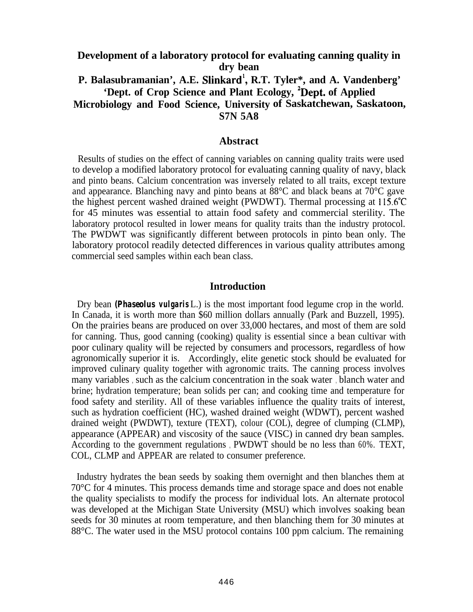# **Development of a laboratory protocol for evaluating canning quality in dry bean P. Balasubramanian', A.E. Slinkard', R.T. Tyler\*, and A. Vandenberg' 'Dept. of Crop Science and Plant Ecology, 2Dept. of Applied Microbiology and Food Science, University of Saskatchewan, Saskatoon, S7N 5A8**

#### **Abstract**

Results of studies on the effect of canning variables on canning quality traits were used to develop a modified laboratory protocol for evaluating canning quality of navy, black and pinto beans. Calcium concentration was inversely related to all traits, except texture and appearance. Blanching navy and pinto beans at 88°C and black beans at 70°C gave the highest percent washed drained weight (PWDWT). Thermal processing at 115.6"C for 45 minutes was essential to attain food safety and commercial sterility. The laboratory protocol resulted in lower means for quality traits than the industry protocol. The PWDWT was significantly different between protocols in pinto bean only. The laboratory protocol readily detected differences in various quality attributes among commercial seed samples within each bean class.

### **Introduction**

Dry bean *(Phaseolus vulgaris* L.) is the most important food legume crop in the world. In Canada, it is worth more than \$60 million dollars annually (Park and Buzzell, 1995). On the prairies beans are produced on over 33,000 hectares, and most of them are sold for canning. Thus, good canning (cooking) quality is essential since a bean cultivar with poor culinary quality will be rejected by consumers and processors, regardless of how agronomically superior it is. Accordingly, elite genetic stock should be evaluated for improved culinary quality together with agronomic traits. The canning process involves many variables , such as the calcium concentration in the soak water , blanch water and brine; hydration temperature; bean solids per can; and cooking time and temperature for food safety and sterility. All of these variables influence the quality traits of interest, such as hydration coefficient (HC), washed drained weight (WDWT), percent washed drained weight (PWDWT), texture (TEXT), colour (COL), degree of clumping (CLMP), appearance (APPEAR) and viscosity of the sauce (VISC) in canned dry bean samples. According to the government regulations , PWDWT should be no less than 60%. TEXT, COL, CLMP and APPEAR are related to consumer preference.

Industry hydrates the bean seeds by soaking them overnight and then blanches them at 70°C for 4 minutes. This process demands time and storage space and does not enable the quality specialists to modify the process for individual lots. An alternate protocol was developed at the Michigan State University (MSU) which involves soaking bean seeds for 30 minutes at room temperature, and then blanching them for 30 minutes at 88°C. The water used in the MSU protocol contains 100 ppm calcium. The remaining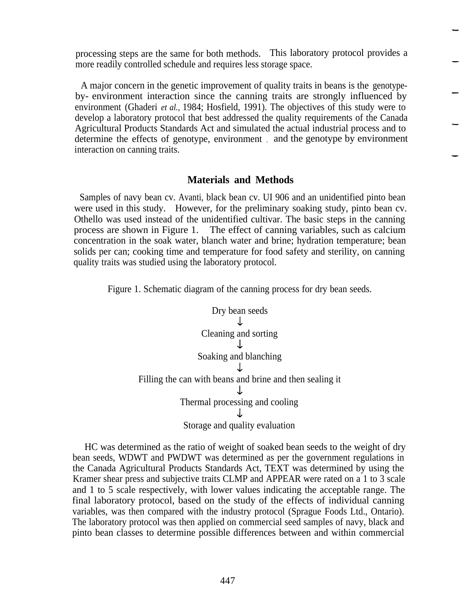processing steps are the same for both methods. This laboratory protocol provides a more readily controlled schedule and requires less storage space.

A major concern in the genetic improvement of quality traits in beans is the genotypeby- environment interaction since the canning traits are strongly influenced by environment (Ghaderi *et al.,* 1984; Hosfield, 1991). The objectives of this study were to develop a laboratory protocol that best addressed the quality requirements of the Canada Agricultural Products Standards Act and simulated the actual industrial process and to determine the effects of genotype, environment , and the genotype by environment interaction on canning traits.

### **Materials and Methods**

Samples of navy bean cv. Avanti, black bean cv. UI 906 and an unidentified pinto bean were used in this study. However, for the preliminary soaking study, pinto bean cv. Othello was used instead of the unidentified cultivar. The basic steps in the canning process are shown in Figure 1. The effect of canning variables, such as calcium concentration in the soak water, blanch water and brine; hydration temperature; bean solids per can; cooking time and temperature for food safety and sterility, on canning quality traits was studied using the laboratory protocol.

Figure 1. Schematic diagram of the canning process for dry bean seeds.



HC was determined as the ratio of weight of soaked bean seeds to the weight of dry bean seeds, WDWT and PWDWT was determined as per the government regulations in the Canada Agricultural Products Standards Act, TEXT was determined by using the Kramer shear press and subjective traits CLMP and APPEAR were rated on a 1 to 3 scale and 1 to 5 scale respectively, with lower values indicating the acceptable range. The final laboratory protocol, based on the study of the effects of individual canning variables, was then compared with the industry protocol (Sprague Foods Ltd., Ontario). The laboratory protocol was then applied on commercial seed samples of navy, black and pinto bean classes to determine possible differences between and within commercial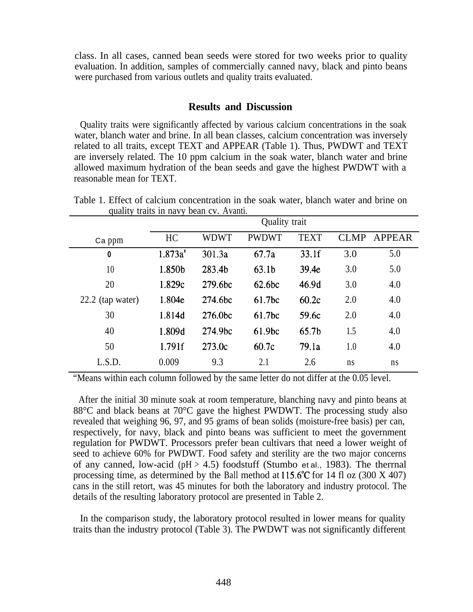class. In all cases, canned bean seeds were stored for two weeks prior to quality evaluation. In addition, samples of commercially canned navy, black and pinto beans were purchased from various outlets and quality traits evaluated.

# **Results and Discussion**

Quality traits were significantly affected by various calcium concentrations in the soak water, blanch water and brine. In all bean classes, calcium concentration was inversely related to all traits, except TEXT and APPEAR (Table 1). Thus, PWDWT and TEXT are inversely related. The 10 ppm calcium in the soak water, blanch water and brine allowed maximum hydration of the bean seeds and gave the highest PWDWT with a reasonable mean for TEXT.

|                    | Quality trait |             |                   |                   |             |        |
|--------------------|---------------|-------------|-------------------|-------------------|-------------|--------|
| Ca ppm             | HC            | <b>WDWT</b> | <b>PWDWT</b>      | <b>TEXT</b>       | <b>CLMP</b> | APPEAR |
| $\bf{0}$           | $1.873a^2$    | 301.3a      | 67.7a             | 33.1f             | 3.0         | 5.0    |
| 10                 | 1.850b        | 283.4b      | 63.1 <sub>b</sub> | 39.4e             | 3.0         | 5.0    |
| 20                 | 1.829c        | 279.6bc     | 62.6bc            | 46.9d             | 3.0         | 4.0    |
| $22.2$ (tap water) | 1.804e        | 274.6bc     | 61.7bc            | 60.2c             | 2.0         | 4.0    |
| 30                 | 1.814d        | 276.0bc     | 61.7bc            | 59.6c             | 2.0         | 4.0    |
| 40                 | 1.809d        | 274.9bc     | 61.9bc            | 65.7 <sub>b</sub> | 1.5         | 4.0    |
| 50                 | 1.791f        | 273.0c      | 60.7c             | 79.1a             | 1.0         | 4.0    |
| L.S.D.             | 0.009         | 9.3         | 2.1               | 2.6               | ns          | ns     |

Table 1. Effect of calcium concentration in the soak water, blanch water and brine on quality traits in navy bean cv. Avanti.

"Means within each column followed by the same letter do not differ at the 0.05 level.

After the initial 30 minute soak at room temperature, blanching navy and pinto beans at 88°C and black beans at 70°C gave the highest PWDWT. The processing study also revealed that weighing 96, 97, and 95 grams of bean solids (moisture-free basis) per can, respectively, for navy, black and pinto beans was sufficient to meet the government regulation for PWDWT. Processors prefer bean cultivars that need a lower weight of seed to achieve 60% for PWDWT. Food safety and sterility are the two major concerns of any canned, low-acid ( $pH > 4.5$ ) foodstuff (Stumbo et al., 1983). The thermal processing time, as determined by the Ball method at  $115.6^{\circ}$ C for 14 fl oz (300 X 407) cans in the still retort, was 45 minutes for both the laboratory and industry protocol. The details of the resulting laboratory protocol are presented in Table 2.

In the comparison study, the laboratory protocol resulted in lower means for quality traits than the industry protocol (Table 3). The PWDWT was not significantly different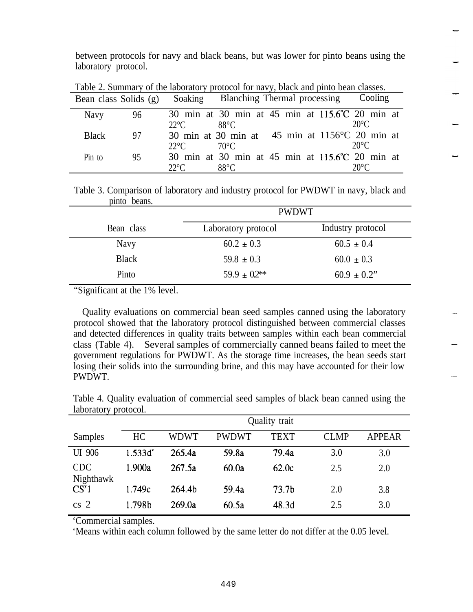between protocols for navy and black beans, but was lower for pinto beans using the laboratory protocol.

|              |    |               | Bean class Solids (g) Soaking Blanching Thermal processing | Cooling        |
|--------------|----|---------------|------------------------------------------------------------|----------------|
| <b>Navy</b>  | 96 |               | 30 min at 30 min at 45 min at 115.6°C 20 min at            |                |
|              |    | $22^{\circ}C$ | $88^{\circ}$ C                                             | $20^{\circ}$ C |
| <b>Black</b> | 97 |               | 30 min at 30 min at 45 min at $1156^{\circ}$ C 20 min at   |                |
|              |    | $22^{\circ}C$ | 70°C                                                       | $20^{\circ}$ C |
| Pin to       | 95 |               | 30 min at 30 min at 45 min at 115.6°C 20 min at            |                |
|              |    | $22^{\circ}C$ | $88^{\circ}$ C                                             |                |

Table 2. Summary of the laboratory protocol for navy, black and pinto bean classes.

Table 3. Comparison of laboratory and industry protocol for PWDWT in navy, black and pinto beans.

|              | <b>PWDWT</b>        |                   |  |  |
|--------------|---------------------|-------------------|--|--|
| Bean class   | Laboratory protocol | Industry protocol |  |  |
| Navy         | $60.2 \pm 0.3$      | $60.5 \pm 0.4$    |  |  |
| <b>Black</b> | $59.8 \pm 0.3$      | $60.0 \pm 0.3$    |  |  |
| Pinto        | $59.9 \pm 0.2$ **   | $60.9 \pm 0.2$ "  |  |  |

"Significant at the 1% level.

Quality evaluations on commercial bean seed samples canned using the laboratory protocol showed that the laboratory protocol distinguished between commercial classes and detected differences in quality traits between samples within each bean commercial class (Table 4). Several samples of commercially canned beans failed to meet the government regulations for PWDWT. As the storage time increases, the bean seeds start losing their solids into the surrounding brine, and this may have accounted for their low PWDWT.

| 100010011               | protocor.     |        |              |                   |             |               |
|-------------------------|---------------|--------|--------------|-------------------|-------------|---------------|
|                         | Quality trait |        |              |                   |             |               |
| Samples                 | HC            | WDWT   | <b>PWDWT</b> | <b>TEXT</b>       | <b>CLMP</b> | <b>APPEAR</b> |
| UI 906                  | $1.533d^2$    | 265.4a | 59.8a        | 79.4a             | 3.0         | 3.0           |
| <b>CDC</b><br>Nighthawk | 1.900a        | 267.5a | 60.0a        | 62.0c             | 2.5         | 2.0           |
| CS <sup>y</sup> 1       | 1.749c        | 264.4b | 59.4a        | 73.7 <sub>b</sub> | 2.0         | 3.8           |
| cs <sub>2</sub>         | 1.798b        | 269.0a | 60.5a        | 48.3d             | 2.5         | 3.0           |

Table 4. Quality evaluation of commercial seed samples of black bean canned using the laboratory protocol.

'Commercial samples.

'Means within each column followed by the same letter do not differ at the 0.05 level.